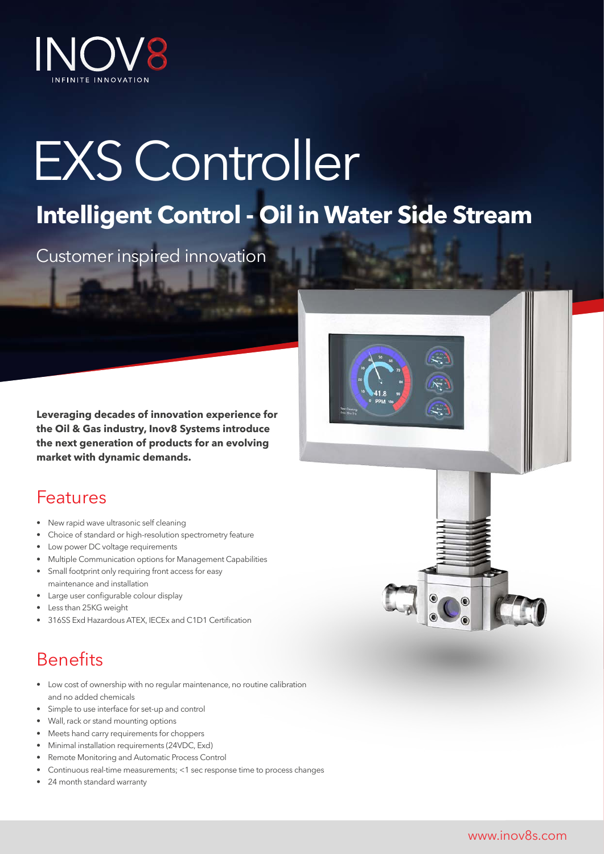

# EXS Controller

## **Intelligent Control - Oil in Water Side Stream**

Customer inspired innovation

**Leveraging decades of innovation experience for the Oil & Gas industry, Inov8 Systems introduce the next generation of products for an evolving market with dynamic demands.**

## Features

- New rapid wave ultrasonic self cleaning
- Choice of standard or high-resolution spectrometry feature
- Low power DC voltage requirements
- Multiple Communication options for Management Capabilities
- Small footprint only requiring front access for easy maintenance and installation
- Large user configurable colour display
- Less than 25KG weight
- 316SS Exd Hazardous ATEX, IECEx and C1D1 Certification

## Benefits

- Low cost of ownership with no regular maintenance, no routine calibration and no added chemicals
- Simple to use interface for set-up and control
- Wall, rack or stand mounting options
- Meets hand carry requirements for choppers
- Minimal installation requirements (24VDC, Exd)
- Remote Monitoring and Automatic Process Control
- Continuous real-time measurements; <1 sec response time to process changes
- 24 month standard warranty